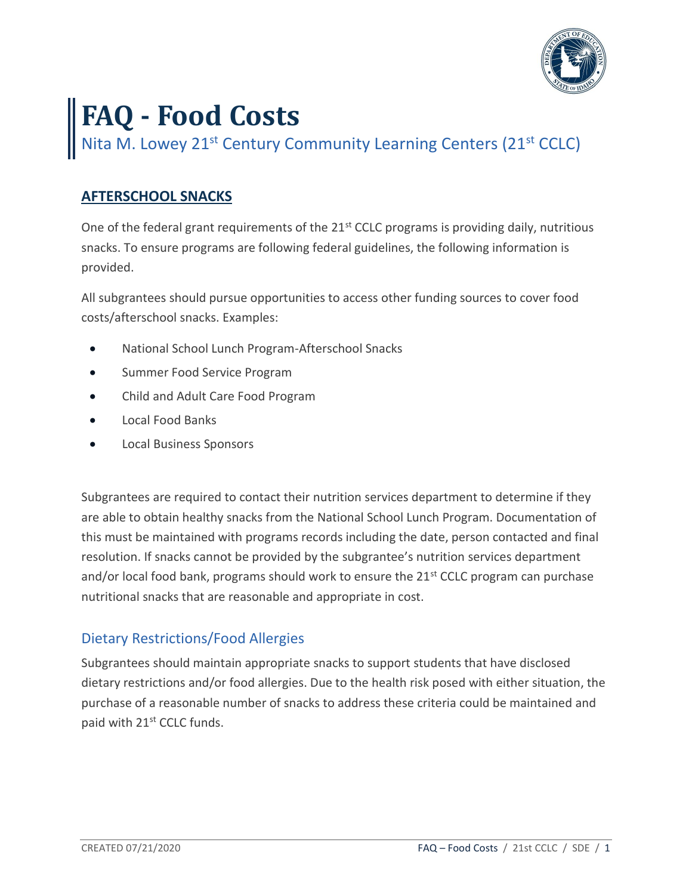

# **FAQ - Food Costs**

Nita M. Lowey 21<sup>st</sup> Century Community Learning Centers (21<sup>st</sup> CCLC)

# **AFTERSCHOOL SNACKS**

One of the federal grant requirements of the 21<sup>st</sup> CCLC programs is providing daily, nutritious snacks. To ensure programs are following federal guidelines, the following information is provided.

All subgrantees should pursue opportunities to access other funding sources to cover food costs/afterschool snacks. Examples:

- National School Lunch Program-Afterschool Snacks
- Summer Food Service Program
- Child and Adult Care Food Program
- Local Food Banks
- Local Business Sponsors

Subgrantees are required to contact their nutrition services department to determine if they are able to obtain healthy snacks from the National School Lunch Program. Documentation of this must be maintained with programs records including the date, person contacted and final resolution. If snacks cannot be provided by the subgrantee's nutrition services department and/or local food bank, programs should work to ensure the  $21^{st}$  CCLC program can purchase nutritional snacks that are reasonable and appropriate in cost.

# Dietary Restrictions/Food Allergies

Subgrantees should maintain appropriate snacks to support students that have disclosed dietary restrictions and/or food allergies. Due to the health risk posed with either situation, the purchase of a reasonable number of snacks to address these criteria could be maintained and paid with 21<sup>st</sup> CCLC funds.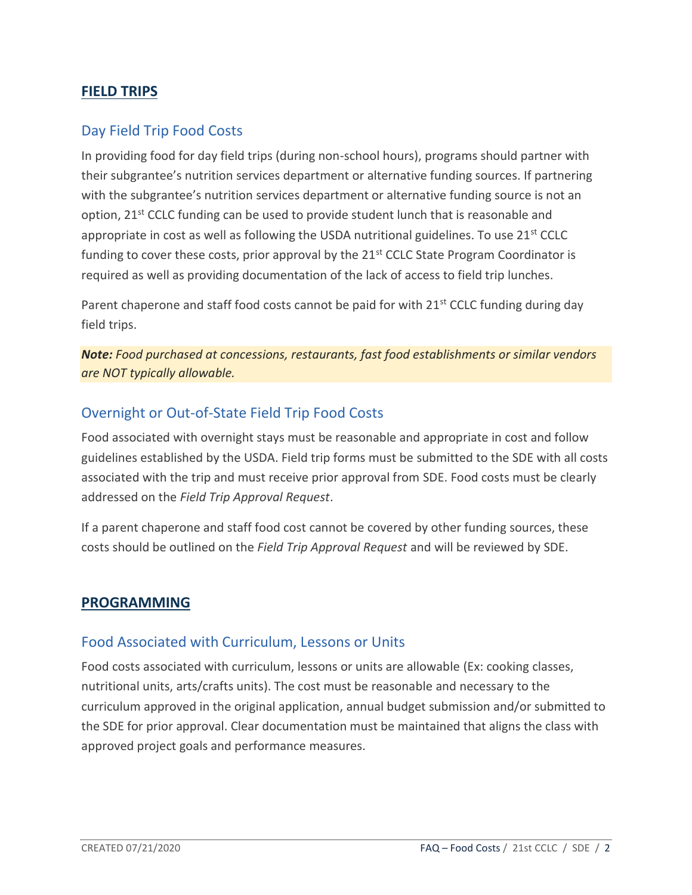# **FIELD TRIPS**

## Day Field Trip Food Costs

In providing food for day field trips (during non-school hours), programs should partner with their subgrantee's nutrition services department or alternative funding sources. If partnering with the subgrantee's nutrition services department or alternative funding source is not an option, 21<sup>st</sup> CCLC funding can be used to provide student lunch that is reasonable and appropriate in cost as well as following the USDA nutritional guidelines. To use  $21^{st}$  CCLC funding to cover these costs, prior approval by the  $21<sup>st</sup>$  CCLC State Program Coordinator is required as well as providing documentation of the lack of access to field trip lunches.

Parent chaperone and staff food costs cannot be paid for with  $21^{st}$  CCLC funding during day field trips.

*Note: Food purchased at concessions, restaurants, fast food establishments or similar vendors are NOT typically allowable.* 

## Overnight or Out-of-State Field Trip Food Costs

Food associated with overnight stays must be reasonable and appropriate in cost and follow guidelines established by the USDA. Field trip forms must be submitted to the SDE with all costs associated with the trip and must receive prior approval from SDE. Food costs must be clearly addressed on the *Field Trip Approval Request*.

If a parent chaperone and staff food cost cannot be covered by other funding sources, these costs should be outlined on the *Field Trip Approval Request* and will be reviewed by SDE.

#### **PROGRAMMING**

#### Food Associated with Curriculum, Lessons or Units

Food costs associated with curriculum, lessons or units are allowable (Ex: cooking classes, nutritional units, arts/crafts units). The cost must be reasonable and necessary to the curriculum approved in the original application, annual budget submission and/or submitted to the SDE for prior approval. Clear documentation must be maintained that aligns the class with approved project goals and performance measures.